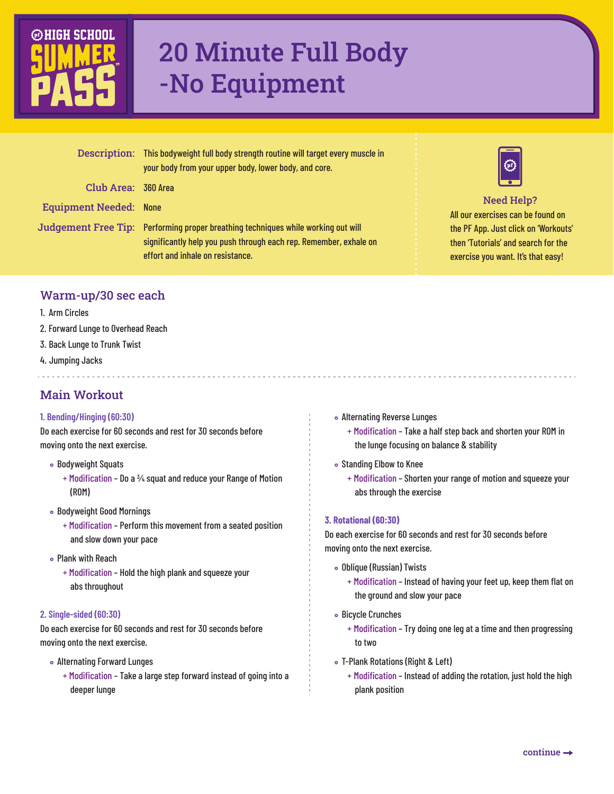

# 20 Minute Full Body -No Equipment

|                               | Description: This bodyweight full body strength routine will target every muscle in<br>your body from your upper body, lower body, and core.                                               |
|-------------------------------|--------------------------------------------------------------------------------------------------------------------------------------------------------------------------------------------|
| Club Area: 360 Area           |                                                                                                                                                                                            |
| <b>Equipment Needed: None</b> |                                                                                                                                                                                            |
|                               | Judgement Free Tip: Performing proper breathing techniques while working out will<br>significantly help you push through each rep. Remember, exhale on<br>effort and inhale on resistance. |



All our exercises can be found on the PF App. Just click on 'Workouts' then 'Tutorials' and search for the exercise you want. It's that easy! Need Help?

### Warm-up/30 sec each

- 1. Arm Circles
- 2. Forward Lunge to Overhead Reach
- 3. Back Lunge to Trunk Twist
- 4. Jumping Jacks
- Main Workout

#### **1. Bending/Hinging (60:30)**

Do each exercise for 60 seconds and rest for 30 seconds before moving onto the next exercise.

- Bodyweight Squats
	- + Modification Do a ¾ squat and reduce your Range of Motion (ROM)
- Bodyweight Good Mornings
	- + Modification Perform this movement from a seated position and slow down your pace
- Plank with Reach
	- + Modification Hold the high plank and squeeze your abs throughout

#### **2. Single-sided (60:30)**

Do each exercise for 60 seconds and rest for 30 seconds before moving onto the next exercise.

- Alternating Forward Lunges
	- + Modification Take a large step forward instead of going into a deeper lunge
- Alternating Reverse Lunges
	- + Modification Take a half step back and shorten your ROM in the lunge focusing on balance & stability
- Standing Elbow to Knee
	- + Modification Shorten your range of motion and squeeze your abs through the exercise

#### **3. Rotational (60:30)**

Do each exercise for 60 seconds and rest for 30 seconds before moving onto the next exercise.

- Oblique (Russian) Twists
	- + Modification Instead of having your feet up, keep them flat on the ground and slow your pace
- Bicycle Crunches
	- + Modification Try doing one leg at a time and then progressing to two
- T-Plank Rotations (Right & Left)
	- + Modification Instead of adding the rotation, just hold the high plank position